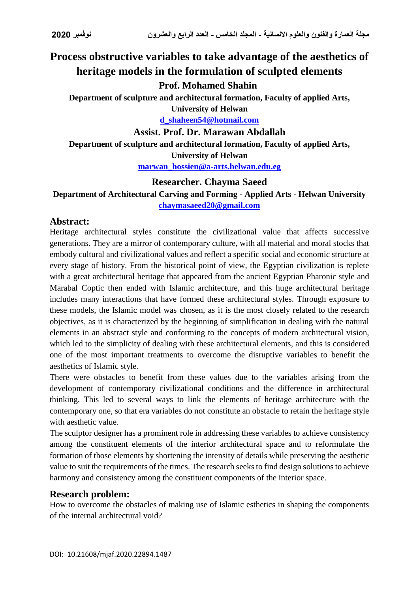# **Process obstructive variables to take advantage of the aesthetics of heritage models in the formulation of sculpted elements**

# **Prof. Mohamed Shahin**

**Department of sculpture and architectural formation, Faculty of applied Arts,** 

**University of Helwan [d\\_shaheen54@hotmail.com](mailto:d_shaheen54@hotmail.com)**

**Assist. Prof. Dr. Marawan Abdallah**

**Department of sculpture and architectural formation, Faculty of applied Arts, University of Helwan [marwan\\_hossien@a-arts.helwan.edu.eg](mailto:marwan_hossien@a-arts.helwan.edu.eg)**

# **Researcher. Chayma Saeed**

# **Department of Architectural Carving and Forming - Applied Arts - Helwan University [chaymasaeed20@gmail.com](mailto:chaymasaeed20@gmail.com)**

# **Abstract:**

Heritage architectural styles constitute the civilizational value that affects successive generations. They are a mirror of contemporary culture, with all material and moral stocks that embody cultural and civilizational values and reflect a specific social and economic structure at every stage of history. From the historical point of view, the Egyptian civilization is replete with a great architectural heritage that appeared from the ancient Egyptian Pharonic style and Marabal Coptic then ended with Islamic architecture, and this huge architectural heritage includes many interactions that have formed these architectural styles. Through exposure to these models, the Islamic model was chosen, as it is the most closely related to the research objectives, as it is characterized by the beginning of simplification in dealing with the natural elements in an abstract style and conforming to the concepts of modern architectural vision, which led to the simplicity of dealing with these architectural elements, and this is considered one of the most important treatments to overcome the disruptive variables to benefit the aesthetics of Islamic style.

There were obstacles to benefit from these values due to the variables arising from the development of contemporary civilizational conditions and the difference in architectural thinking. This led to several ways to link the elements of heritage architecture with the contemporary one, so that era variables do not constitute an obstacle to retain the heritage style with aesthetic value.

The sculptor designer has a prominent role in addressing these variables to achieve consistency among the constituent elements of the interior architectural space and to reformulate the formation of those elements by shortening the intensity of details while preserving the aesthetic value to suit the requirements of the times. The research seeks to find design solutions to achieve harmony and consistency among the constituent components of the interior space.

# **Research problem:**

How to overcome the obstacles of making use of Islamic esthetics in shaping the components of the internal architectural void?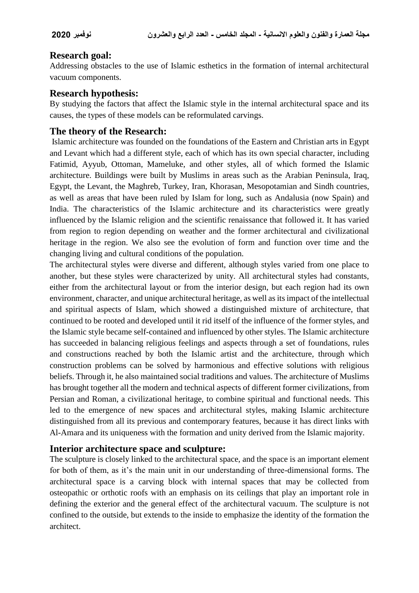# **Research goal:**

Addressing obstacles to the use of Islamic esthetics in the formation of internal architectural vacuum components.

# **Research hypothesis:**

By studying the factors that affect the Islamic style in the internal architectural space and its causes, the types of these models can be reformulated carvings.

# **The theory of the Research:**

Islamic architecture was founded on the foundations of the Eastern and Christian arts in Egypt and Levant which had a different style, each of which has its own special character, including Fatimid, Ayyub, Ottoman, Mameluke, and other styles, all of which formed the Islamic architecture. Buildings were built by Muslims in areas such as the Arabian Peninsula, Iraq, Egypt, the Levant, the Maghreb, Turkey, Iran, Khorasan, Mesopotamian and Sindh countries, as well as areas that have been ruled by Islam for long, such as Andalusia (now Spain) and India. The characteristics of the Islamic architecture and its characteristics were greatly influenced by the Islamic religion and the scientific renaissance that followed it. It has varied from region to region depending on weather and the former architectural and civilizational heritage in the region. We also see the evolution of form and function over time and the changing living and cultural conditions of the population.

The architectural styles were diverse and different, although styles varied from one place to another, but these styles were characterized by unity. All architectural styles had constants, either from the architectural layout or from the interior design, but each region had its own environment, character, and unique architectural heritage, as well as its impact of the intellectual and spiritual aspects of Islam, which showed a distinguished mixture of architecture, that continued to be rooted and developed until it rid itself of the influence of the former styles, and the Islamic style became self-contained and influenced by other styles. The Islamic architecture has succeeded in balancing religious feelings and aspects through a set of foundations, rules and constructions reached by both the Islamic artist and the architecture, through which construction problems can be solved by harmonious and effective solutions with religious beliefs. Through it, he also maintained social traditions and values. The architecture of Muslims has brought together all the modern and technical aspects of different former civilizations, from Persian and Roman, a civilizational heritage, to combine spiritual and functional needs. This led to the emergence of new spaces and architectural styles, making Islamic architecture distinguished from all its previous and contemporary features, because it has direct links with Al-Amara and its uniqueness with the formation and unity derived from the Islamic majority.

# **Interior architecture space and sculpture:**

The sculpture is closely linked to the architectural space, and the space is an important element for both of them, as it's the main unit in our understanding of three-dimensional forms. The architectural space is a carving block with internal spaces that may be collected from osteopathic or orthotic roofs with an emphasis on its ceilings that play an important role in defining the exterior and the general effect of the architectural vacuum. The sculpture is not confined to the outside, but extends to the inside to emphasize the identity of the formation the architect.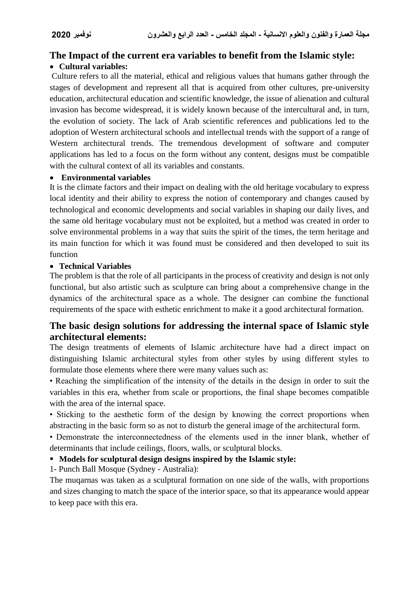# **The Impact of the current era variables to benefit from the Islamic style:**

# **Cultural variables:**

Culture refers to all the material, ethical and religious values that humans gather through the stages of development and represent all that is acquired from other cultures, pre-university education, architectural education and scientific knowledge, the issue of alienation and cultural invasion has become widespread, it is widely known because of the intercultural and, in turn, the evolution of society. The lack of Arab scientific references and publications led to the adoption of Western architectural schools and intellectual trends with the support of a range of Western architectural trends. The tremendous development of software and computer applications has led to a focus on the form without any content, designs must be compatible with the cultural context of all its variables and constants.

# **Environmental variables**

It is the climate factors and their impact on dealing with the old heritage vocabulary to express local identity and their ability to express the notion of contemporary and changes caused by technological and economic developments and social variables in shaping our daily lives, and the same old heritage vocabulary must not be exploited, but a method was created in order to solve environmental problems in a way that suits the spirit of the times, the term heritage and its main function for which it was found must be considered and then developed to suit its function

#### **Technical Variables**

The problem is that the role of all participants in the process of creativity and design is not only functional, but also artistic such as sculpture can bring about a comprehensive change in the dynamics of the architectural space as a whole. The designer can combine the functional requirements of the space with esthetic enrichment to make it a good architectural formation.

# **The basic design solutions for addressing the internal space of Islamic style architectural elements:**

The design treatments of elements of Islamic architecture have had a direct impact on distinguishing Islamic architectural styles from other styles by using different styles to formulate those elements where there were many values such as:

• Reaching the simplification of the intensity of the details in the design in order to suit the variables in this era, whether from scale or proportions, the final shape becomes compatible with the area of the internal space.

• Sticking to the aesthetic form of the design by knowing the correct proportions when abstracting in the basic form so as not to disturb the general image of the architectural form.

• Demonstrate the interconnectedness of the elements used in the inner blank, whether of determinants that include ceilings, floors, walls, or sculptural blocks.

# **Models for sculptural design designs inspired by the Islamic style:**

1- Punch Ball Mosque (Sydney - Australia):

The muqarnas was taken as a sculptural formation on one side of the walls, with proportions and sizes changing to match the space of the interior space, so that its appearance would appear to keep pace with this era.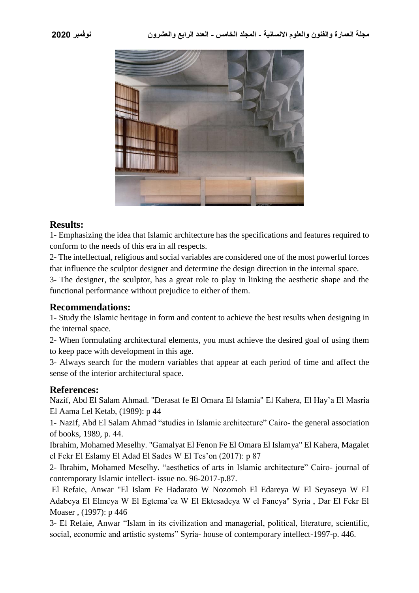

#### **Results:**

1- Emphasizing the idea that Islamic architecture has the specifications and features required to conform to the needs of this era in all respects.

2- The intellectual, religious and social variables are considered one of the most powerful forces that influence the sculptor designer and determine the design direction in the internal space.

3- The designer, the sculptor, has a great role to play in linking the aesthetic shape and the functional performance without prejudice to either of them.

# **Recommendations:**

1- Study the Islamic heritage in form and content to achieve the best results when designing in the internal space.

2- When formulating architectural elements, you must achieve the desired goal of using them to keep pace with development in this age.

3- Always search for the modern variables that appear at each period of time and affect the sense of the interior architectural space.

# **References:**

Nazif, Abd El Salam Ahmad. "Derasat fe El Omara El Islamia" El Kahera, El Hay'a El Masria El Aama Lel Ketab, (1989): p 44

1- Nazif, Abd El Salam Ahmad "studies in Islamic architecture" Cairo- the general association of books, 1989, p. 44.

Ibrahim, Mohamed Meselhy. "Gamalyat El Fenon Fe El Omara El Islamya" El Kahera, Magalet el Fekr El Eslamy El Adad El Sades W El Tes'on (2017): p 87

2- Ibrahim, Mohamed Meselhy. "aesthetics of arts in Islamic architecture" Cairo- journal of contemporary Islamic intellect- issue no. 96-2017-p.87.

El Refaie, Anwar "El Islam Fe Hadarato W Nozomoh El Edareya W El Seyaseya W El Adabeya El Elmeya W El Egtema'ea W El Ektesadeya W el Faneya" Syria , Dar El Fekr El Moaser , (1997): p 446

3- El Refaie, Anwar "Islam in its civilization and managerial, political, literature, scientific, social, economic and artistic systems" Syria- house of contemporary intellect-1997-p. 446.